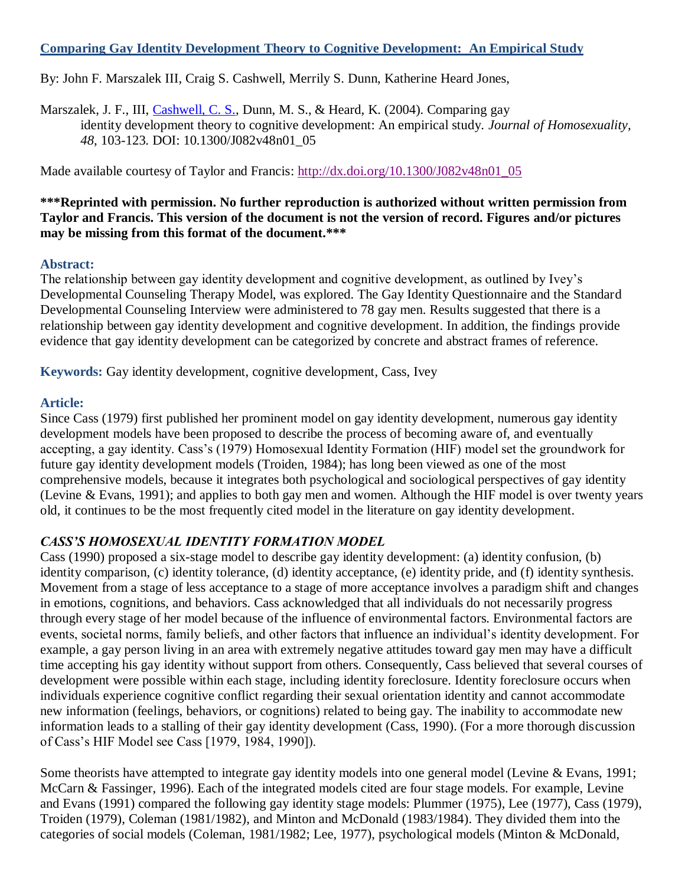# **Comparing Gay Identity Development Theory to Cognitive Development: An Empirical Study**

By: John F. Marszalek III, Craig S. Cashwell, Merrily S. Dunn, Katherine Heard Jones,

Marszalek, J. F., III, [Cashwell, C. S.,](http://libres.uncg.edu/ir/uncg/clist.aspx?id=922) Dunn, M. S., & Heard, K. (2004). Comparing gay identity development theory to cognitive development: An empirical study. *Journal of Homosexuality, 48*, 103-123. DOI: 10.1300/J082v48n01\_05

Made available courtesy of Taylor and Francis: [http://dx.doi.org/10.1300/J082v48n01\\_05](http://dx.doi.org/10.1300/J082v48n01_05)

# **\*\*\*Reprinted with permission. No further reproduction is authorized without written permission from Taylor and Francis. This version of the document is not the version of record. Figures and/or pictures may be missing from this format of the document.\*\*\***

#### **Abstract:**

The relationship between gay identity development and cognitive development, as outlined by Ivey's Developmental Counseling Therapy Model, was explored. The Gay Identity Questionnaire and the Standard Developmental Counseling Interview were administered to 78 gay men. Results suggested that there is a relationship between gay identity development and cognitive development. In addition, the findings provide evidence that gay identity development can be categorized by concrete and abstract frames of reference.

**Keywords:** Gay identity development, cognitive development, Cass, Ivey

#### **Article:**

Since Cass (1979) first published her prominent model on gay identity development, numerous gay identity development models have been proposed to describe the process of becoming aware of, and eventually accepting, a gay identity. Cass's (1979) Homosexual Identity Formation (HIF) model set the groundwork for future gay identity development models (Troiden, 1984); has long been viewed as one of the most comprehensive models, because it integrates both psychological and sociological perspectives of gay identity (Levine & Evans, 1991); and applies to both gay men and women. Although the HIF model is over twenty years old, it continues to be the most frequently cited model in the literature on gay identity development.

# *CASS'S HOMOSEXUAL IDENTITY FORMATION MODEL*

Cass (1990) proposed a six-stage model to describe gay identity development: (a) identity confusion, (b) identity comparison, (c) identity tolerance, (d) identity acceptance, (e) identity pride, and (f) identity synthesis. Movement from a stage of less acceptance to a stage of more acceptance involves a paradigm shift and changes in emotions, cognitions, and behaviors. Cass acknowledged that all individuals do not necessarily progress through every stage of her model because of the influence of environmental factors. Environmental factors are events, societal norms, family beliefs, and other factors that influence an individual's identity development. For example, a gay person living in an area with extremely negative attitudes toward gay men may have a difficult time accepting his gay identity without support from others. Consequently, Cass believed that several courses of development were possible within each stage, including identity foreclosure. Identity foreclosure occurs when individuals experience cognitive conflict regarding their sexual orientation identity and cannot accommodate new information (feelings, behaviors, or cognitions) related to being gay. The inability to accommodate new information leads to a stalling of their gay identity development (Cass, 1990). (For a more thorough discussion of Cass's HIF Model see Cass [1979, 1984, 1990]).

Some theorists have attempted to integrate gay identity models into one general model (Levine & Evans, 1991; McCarn & Fassinger, 1996). Each of the integrated models cited are four stage models. For example, Levine and Evans (1991) compared the following gay identity stage models: Plummer (1975), Lee (1977), Cass (1979), Troiden (1979), Coleman (1981/1982), and Minton and McDonald (1983/1984). They divided them into the categories of social models (Coleman, 1981/1982; Lee, 1977), psychological models (Minton & McDonald,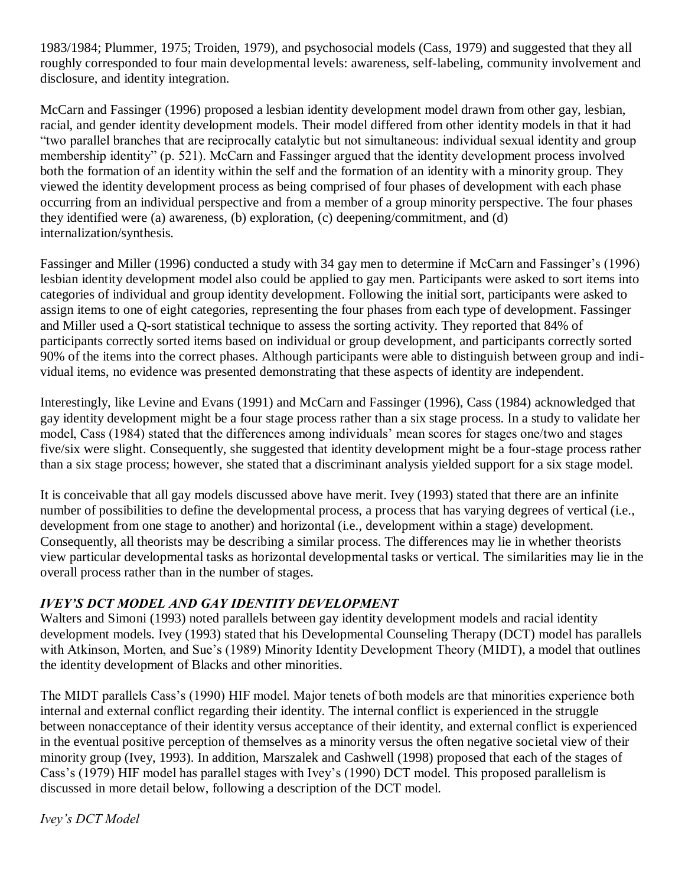1983/1984; Plummer, 1975; Troiden, 1979), and psychosocial models (Cass, 1979) and suggested that they all roughly corresponded to four main developmental levels: awareness, self-labeling, community involvement and disclosure, and identity integration.

McCarn and Fassinger (1996) proposed a lesbian identity development model drawn from other gay, lesbian, racial, and gender identity development models. Their model differed from other identity models in that it had "two parallel branches that are reciprocally catalytic but not simultaneous: individual sexual identity and group membership identity" (p. 521). McCarn and Fassinger argued that the identity development process involved both the formation of an identity within the self and the formation of an identity with a minority group. They viewed the identity development process as being comprised of four phases of development with each phase occurring from an individual perspective and from a member of a group minority perspective. The four phases they identified were (a) awareness, (b) exploration, (c) deepening/commitment, and (d) internalization/synthesis.

Fassinger and Miller (1996) conducted a study with 34 gay men to determine if McCarn and Fassinger's (1996) lesbian identity development model also could be applied to gay men. Participants were asked to sort items into categories of individual and group identity development. Following the initial sort, participants were asked to assign items to one of eight categories, representing the four phases from each type of development. Fassinger and Miller used a Q-sort statistical technique to assess the sorting activity. They reported that 84% of participants correctly sorted items based on individual or group development, and participants correctly sorted 90% of the items into the correct phases. Although participants were able to distinguish between group and individual items, no evidence was presented demonstrating that these aspects of identity are independent.

Interestingly, like Levine and Evans (1991) and McCarn and Fassinger (1996), Cass (1984) acknowledged that gay identity development might be a four stage process rather than a six stage process. In a study to validate her model, Cass (1984) stated that the differences among individuals' mean scores for stages one/two and stages five/six were slight. Consequently, she suggested that identity development might be a four-stage process rather than a six stage process; however, she stated that a discriminant analysis yielded support for a six stage model.

It is conceivable that all gay models discussed above have merit. Ivey (1993) stated that there are an infinite number of possibilities to define the developmental process, a process that has varying degrees of vertical (i.e., development from one stage to another) and horizontal (i.e., development within a stage) development. Consequently, all theorists may be describing a similar process. The differences may lie in whether theorists view particular developmental tasks as horizontal developmental tasks or vertical. The similarities may lie in the overall process rather than in the number of stages.

# *IVEY'S DCT MODEL AND GAY IDENTITY DEVELOPMENT*

Walters and Simoni (1993) noted parallels between gay identity development models and racial identity development models. Ivey (1993) stated that his Developmental Counseling Therapy (DCT) model has parallels with Atkinson, Morten, and Sue's (1989) Minority Identity Development Theory (MIDT), a model that outlines the identity development of Blacks and other minorities.

The MIDT parallels Cass's (1990) HIF model. Major tenets of both models are that minorities experience both internal and external conflict regarding their identity. The internal conflict is experienced in the struggle between nonacceptance of their identity versus acceptance of their identity, and external conflict is experienced in the eventual positive perception of themselves as a minority versus the often negative societal view of their minority group (Ivey, 1993). In addition, Marszalek and Cashwell (1998) proposed that each of the stages of Cass's (1979) HIF model has parallel stages with Ivey's (1990) DCT model. This proposed parallelism is discussed in more detail below, following a description of the DCT model.

*Ivey's DCT Model*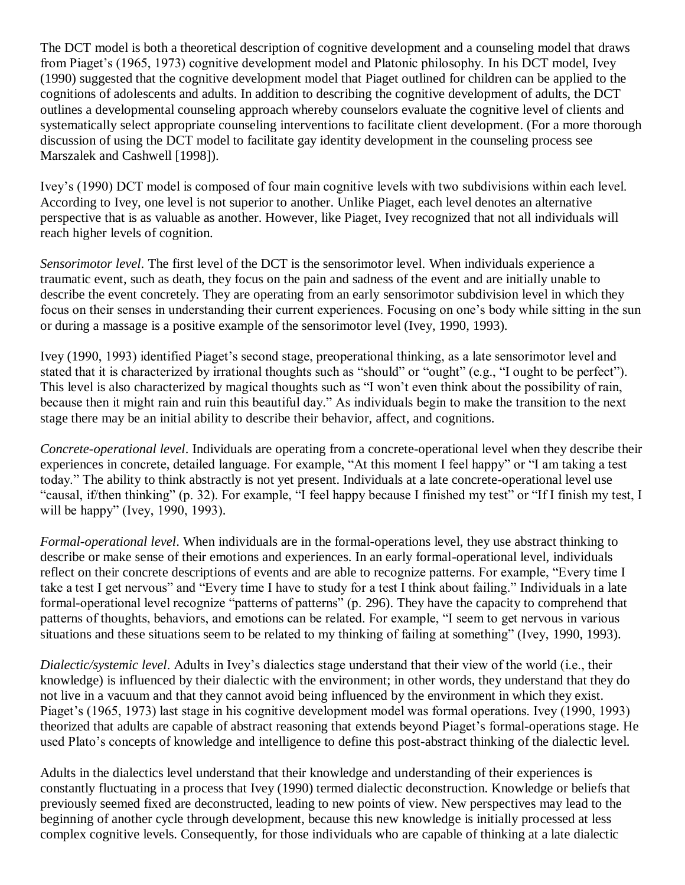The DCT model is both a theoretical description of cognitive development and a counseling model that draws from Piaget's (1965, 1973) cognitive development model and Platonic philosophy. In his DCT model, Ivey (1990) suggested that the cognitive development model that Piaget outlined for children can be applied to the cognitions of adolescents and adults. In addition to describing the cognitive development of adults, the DCT outlines a developmental counseling approach whereby counselors evaluate the cognitive level of clients and systematically select appropriate counseling interventions to facilitate client development. (For a more thorough discussion of using the DCT model to facilitate gay identity development in the counseling process see Marszalek and Cashwell [1998]).

Ivey's (1990) DCT model is composed of four main cognitive levels with two subdivisions within each level. According to Ivey, one level is not superior to another. Unlike Piaget, each level denotes an alternative perspective that is as valuable as another. However, like Piaget, Ivey recognized that not all individuals will reach higher levels of cognition.

*Sensorimotor level*. The first level of the DCT is the sensorimotor level. When individuals experience a traumatic event, such as death, they focus on the pain and sadness of the event and are initially unable to describe the event concretely. They are operating from an early sensorimotor subdivision level in which they focus on their senses in understanding their current experiences. Focusing on one's body while sitting in the sun or during a massage is a positive example of the sensorimotor level (Ivey, 1990, 1993).

Ivey (1990, 1993) identified Piaget's second stage, preoperational thinking, as a late sensorimotor level and stated that it is characterized by irrational thoughts such as "should" or "ought" (e.g., "I ought to be perfect"). This level is also characterized by magical thoughts such as "I won't even think about the possibility of rain, because then it might rain and ruin this beautiful day." As individuals begin to make the transition to the next stage there may be an initial ability to describe their behavior, affect, and cognitions.

*Concrete-operational level*. Individuals are operating from a concrete-operational level when they describe their experiences in concrete, detailed language. For example, "At this moment I feel happy" or "I am taking a test today." The ability to think abstractly is not yet present. Individuals at a late concrete-operational level use "causal, if/then thinking" (p. 32). For example, "I feel happy because I finished my test" or "If I finish my test, I will be happy" (Ivey, 1990, 1993).

*Formal-operational level*. When individuals are in the formal-operations level, they use abstract thinking to describe or make sense of their emotions and experiences. In an early formal-operational level, individuals reflect on their concrete descriptions of events and are able to recognize patterns. For example, "Every time I take a test I get nervous" and "Every time I have to study for a test I think about failing." Individuals in a late formal-operational level recognize "patterns of patterns" (p. 296). They have the capacity to comprehend that patterns of thoughts, behaviors, and emotions can be related. For example, "I seem to get nervous in various situations and these situations seem to be related to my thinking of failing at something" (Ivey, 1990, 1993).

*Dialectic/systemic level*. Adults in Ivey's dialectics stage understand that their view of the world (i.e., their knowledge) is influenced by their dialectic with the environment; in other words, they understand that they do not live in a vacuum and that they cannot avoid being influenced by the environment in which they exist. Piaget's (1965, 1973) last stage in his cognitive development model was formal operations. Ivey (1990, 1993) theorized that adults are capable of abstract reasoning that extends beyond Piaget's formal-operations stage. He used Plato's concepts of knowledge and intelligence to define this post-abstract thinking of the dialectic level.

Adults in the dialectics level understand that their knowledge and understanding of their experiences is constantly fluctuating in a process that Ivey (1990) termed dialectic deconstruction. Knowledge or beliefs that previously seemed fixed are deconstructed, leading to new points of view. New perspectives may lead to the beginning of another cycle through development, because this new knowledge is initially processed at less complex cognitive levels. Consequently, for those individuals who are capable of thinking at a late dialectic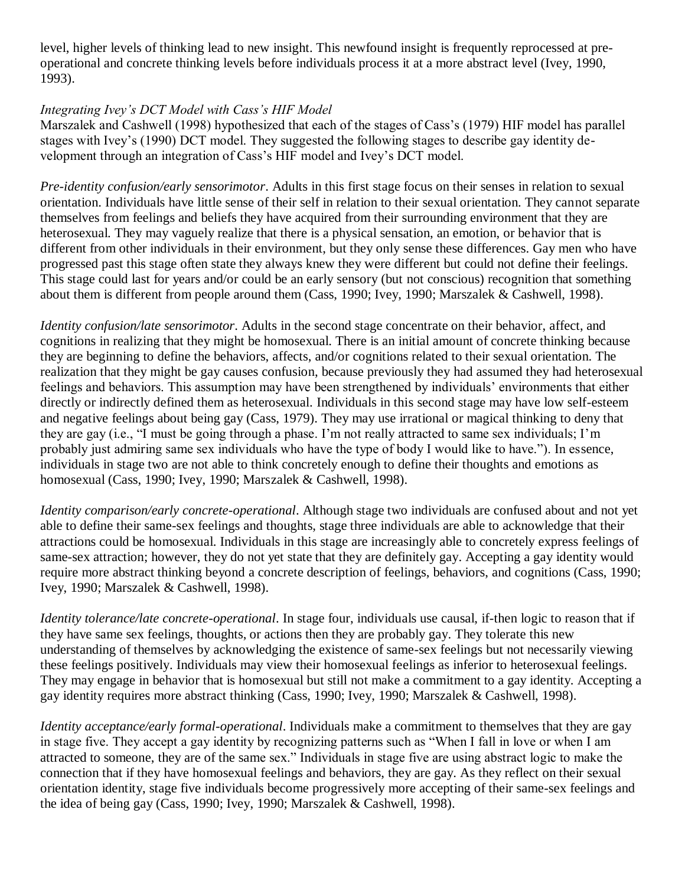level, higher levels of thinking lead to new insight. This newfound insight is frequently reprocessed at preoperational and concrete thinking levels before individuals process it at a more abstract level (Ivey, 1990, 1993).

# *Integrating Ivey's DCT Model with Cass's HIF Model*

Marszalek and Cashwell (1998) hypothesized that each of the stages of Cass's (1979) HIF model has parallel stages with Ivey's (1990) DCT model. They suggested the following stages to describe gay identity development through an integration of Cass's HIF model and Ivey's DCT model.

*Pre-identity confusion/early sensorimotor*. Adults in this first stage focus on their senses in relation to sexual orientation. Individuals have little sense of their self in relation to their sexual orientation. They cannot separate themselves from feelings and beliefs they have acquired from their surrounding environment that they are heterosexual. They may vaguely realize that there is a physical sensation, an emotion, or behavior that is different from other individuals in their environment, but they only sense these differences. Gay men who have progressed past this stage often state they always knew they were different but could not define their feelings. This stage could last for years and/or could be an early sensory (but not conscious) recognition that something about them is different from people around them (Cass, 1990; Ivey, 1990; Marszalek & Cashwell, 1998).

*Identity confusion/late sensorimotor*. Adults in the second stage concentrate on their behavior, affect, and cognitions in realizing that they might be homosexual. There is an initial amount of concrete thinking because they are beginning to define the behaviors, affects, and/or cognitions related to their sexual orientation. The realization that they might be gay causes confusion, because previously they had assumed they had heterosexual feelings and behaviors. This assumption may have been strengthened by individuals' environments that either directly or indirectly defined them as heterosexual. Individuals in this second stage may have low self-esteem and negative feelings about being gay (Cass, 1979). They may use irrational or magical thinking to deny that they are gay (i.e., "I must be going through a phase. I'm not really attracted to same sex individuals; I'm probably just admiring same sex individuals who have the type of body I would like to have."). In essence, individuals in stage two are not able to think concretely enough to define their thoughts and emotions as homosexual (Cass, 1990; Ivey, 1990; Marszalek & Cashwell, 1998).

*Identity comparison/early concrete-operational*. Although stage two individuals are confused about and not yet able to define their same-sex feelings and thoughts, stage three individuals are able to acknowledge that their attractions could be homosexual. Individuals in this stage are increasingly able to concretely express feelings of same-sex attraction; however, they do not yet state that they are definitely gay. Accepting a gay identity would require more abstract thinking beyond a concrete description of feelings, behaviors, and cognitions (Cass, 1990; Ivey, 1990; Marszalek & Cashwell, 1998).

*Identity tolerance/late concrete-operational*. In stage four, individuals use causal, if-then logic to reason that if they have same sex feelings, thoughts, or actions then they are probably gay. They tolerate this new understanding of themselves by acknowledging the existence of same-sex feelings but not necessarily viewing these feelings positively. Individuals may view their homosexual feelings as inferior to heterosexual feelings. They may engage in behavior that is homosexual but still not make a commitment to a gay identity. Accepting a gay identity requires more abstract thinking (Cass, 1990; Ivey, 1990; Marszalek & Cashwell, 1998).

*Identity acceptance/early formal-operational*. Individuals make a commitment to themselves that they are gay in stage five. They accept a gay identity by recognizing patterns such as "When I fall in love or when I am attracted to someone, they are of the same sex." Individuals in stage five are using abstract logic to make the connection that if they have homosexual feelings and behaviors, they are gay. As they reflect on their sexual orientation identity, stage five individuals become progressively more accepting of their same-sex feelings and the idea of being gay (Cass, 1990; Ivey, 1990; Marszalek & Cashwell, 1998).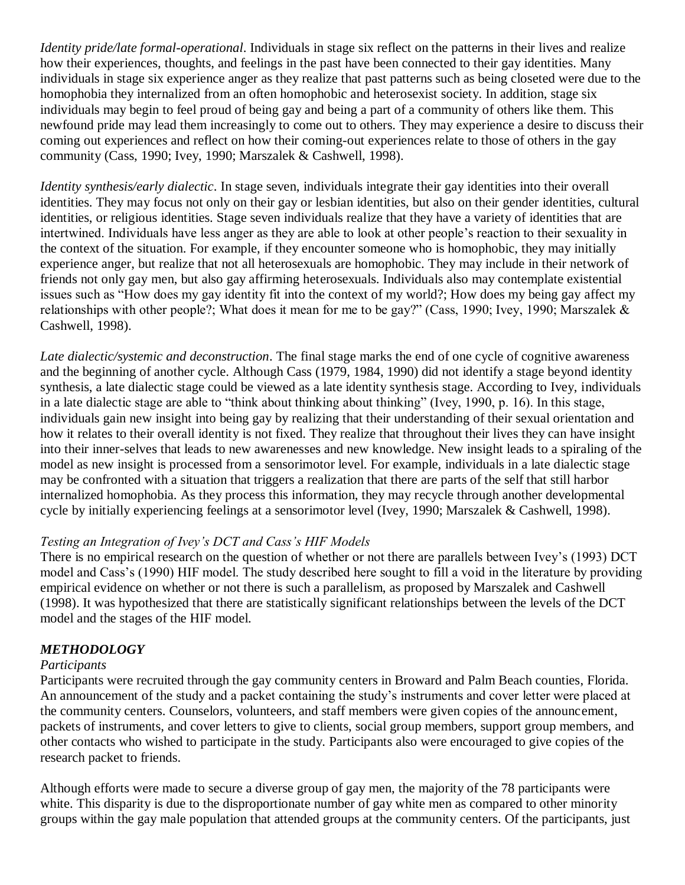*Identity pride/late formal-operational*. Individuals in stage six reflect on the patterns in their lives and realize how their experiences, thoughts, and feelings in the past have been connected to their gay identities. Many individuals in stage six experience anger as they realize that past patterns such as being closeted were due to the homophobia they internalized from an often homophobic and heterosexist society. In addition, stage six individuals may begin to feel proud of being gay and being a part of a community of others like them. This newfound pride may lead them increasingly to come out to others. They may experience a desire to discuss their coming out experiences and reflect on how their coming-out experiences relate to those of others in the gay community (Cass, 1990; Ivey, 1990; Marszalek & Cashwell, 1998).

*Identity synthesis/early dialectic*. In stage seven, individuals integrate their gay identities into their overall identities. They may focus not only on their gay or lesbian identities, but also on their gender identities, cultural identities, or religious identities. Stage seven individuals realize that they have a variety of identities that are intertwined. Individuals have less anger as they are able to look at other people's reaction to their sexuality in the context of the situation. For example, if they encounter someone who is homophobic, they may initially experience anger, but realize that not all heterosexuals are homophobic. They may include in their network of friends not only gay men, but also gay affirming heterosexuals. Individuals also may contemplate existential issues such as "How does my gay identity fit into the context of my world?; How does my being gay affect my relationships with other people?; What does it mean for me to be gay?" (Cass, 1990; Ivey, 1990; Marszalek & Cashwell, 1998).

*Late dialectic/systemic and deconstruction*. The final stage marks the end of one cycle of cognitive awareness and the beginning of another cycle. Although Cass (1979, 1984, 1990) did not identify a stage beyond identity synthesis, a late dialectic stage could be viewed as a late identity synthesis stage. According to Ivey, individuals in a late dialectic stage are able to "think about thinking about thinking" (Ivey, 1990, p. 16). In this stage, individuals gain new insight into being gay by realizing that their understanding of their sexual orientation and how it relates to their overall identity is not fixed. They realize that throughout their lives they can have insight into their inner-selves that leads to new awarenesses and new knowledge. New insight leads to a spiraling of the model as new insight is processed from a sensorimotor level. For example, individuals in a late dialectic stage may be confronted with a situation that triggers a realization that there are parts of the self that still harbor internalized homophobia. As they process this information, they may recycle through another developmental cycle by initially experiencing feelings at a sensorimotor level (Ivey, 1990; Marszalek & Cashwell, 1998).

# *Testing an Integration of Ivey's DCT and Cass's HIF Models*

There is no empirical research on the question of whether or not there are parallels between Ivey's (1993) DCT model and Cass's (1990) HIF model. The study described here sought to fill a void in the literature by providing empirical evidence on whether or not there is such a parallelism, as proposed by Marszalek and Cashwell (1998). It was hypothesized that there are statistically significant relationships between the levels of the DCT model and the stages of the HIF model.

# *METHODOLOGY*

#### *Participants*

Participants were recruited through the gay community centers in Broward and Palm Beach counties, Florida. An announcement of the study and a packet containing the study's instruments and cover letter were placed at the community centers. Counselors, volunteers, and staff members were given copies of the announcement, packets of instruments, and cover letters to give to clients, social group members, support group members, and other contacts who wished to participate in the study. Participants also were encouraged to give copies of the research packet to friends.

Although efforts were made to secure a diverse group of gay men, the majority of the 78 participants were white. This disparity is due to the disproportionate number of gay white men as compared to other minority groups within the gay male population that attended groups at the community centers. Of the participants, just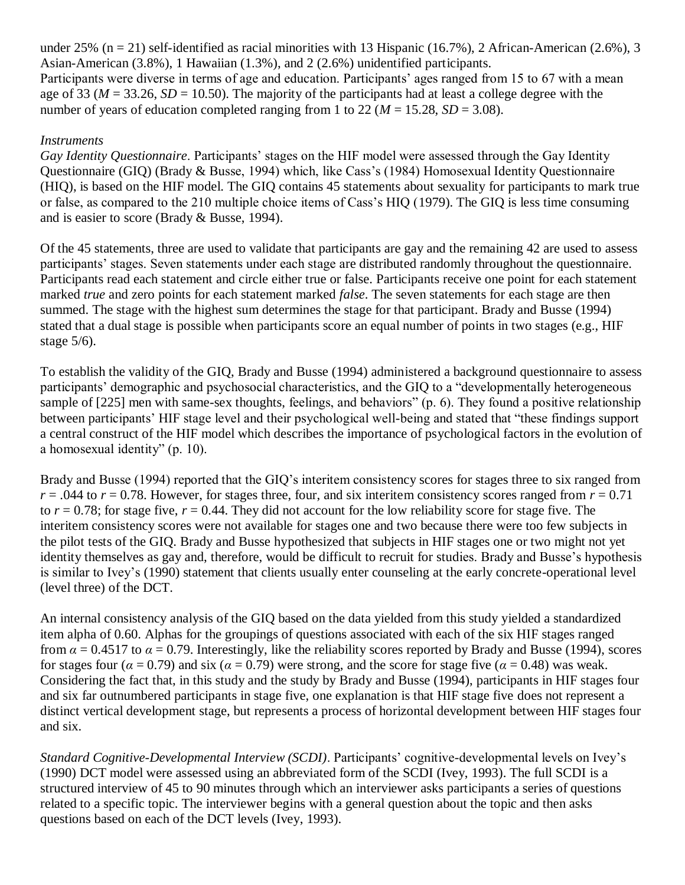under 25% ( $n = 21$ ) self-identified as racial minorities with 13 Hispanic (16.7%), 2 African-American (2.6%), 3 Asian-American (3.8%), 1 Hawaiian (1.3%), and 2 (2.6%) unidentified participants. Participants were diverse in terms of age and education. Participants' ages ranged from 15 to 67 with a mean age of 33 ( $M = 33.26$ ,  $SD = 10.50$ ). The majority of the participants had at least a college degree with the number of years of education completed ranging from 1 to 22 ( $M = 15.28$ ,  $SD = 3.08$ ).

## *Instruments*

*Gay Identity Questionnaire*. Participants' stages on the HIF model were assessed through the Gay Identity Questionnaire (GIQ) (Brady & Busse, 1994) which, like Cass's (1984) Homosexual Identity Questionnaire (HIQ), is based on the HIF model. The GIQ contains 45 statements about sexuality for participants to mark true or false, as compared to the 210 multiple choice items of Cass's HIQ (1979). The GIQ is less time consuming and is easier to score (Brady & Busse, 1994).

Of the 45 statements, three are used to validate that participants are gay and the remaining 42 are used to assess participants' stages. Seven statements under each stage are distributed randomly throughout the questionnaire. Participants read each statement and circle either true or false. Participants receive one point for each statement marked *true* and zero points for each statement marked *false*. The seven statements for each stage are then summed. The stage with the highest sum determines the stage for that participant. Brady and Busse (1994) stated that a dual stage is possible when participants score an equal number of points in two stages (e.g., HIF stage 5/6).

To establish the validity of the GIQ, Brady and Busse (1994) administered a background questionnaire to assess participants' demographic and psychosocial characteristics, and the GIQ to a "developmentally heterogeneous sample of [225] men with same-sex thoughts, feelings, and behaviors" (p. 6). They found a positive relationship between participants' HIF stage level and their psychological well-being and stated that "these findings support a central construct of the HIF model which describes the importance of psychological factors in the evolution of a homosexual identity" (p. 10).

Brady and Busse (1994) reported that the GIQ's interitem consistency scores for stages three to six ranged from  $r = .044$  to  $r = 0.78$ . However, for stages three, four, and six interitem consistency scores ranged from  $r = 0.71$ to  $r = 0.78$ ; for stage five,  $r = 0.44$ . They did not account for the low reliability score for stage five. The interitem consistency scores were not available for stages one and two because there were too few subjects in the pilot tests of the GIQ. Brady and Busse hypothesized that subjects in HIF stages one or two might not yet identity themselves as gay and, therefore, would be difficult to recruit for studies. Brady and Busse's hypothesis is similar to Ivey's (1990) statement that clients usually enter counseling at the early concrete-operational level (level three) of the DCT.

An internal consistency analysis of the GIQ based on the data yielded from this study yielded a standardized item alpha of 0.60. Alphas for the groupings of questions associated with each of the six HIF stages ranged from  $\alpha = 0.4517$  to  $\alpha = 0.79$ . Interestingly, like the reliability scores reported by Brady and Busse (1994), scores for stages four ( $\alpha = 0.79$ ) and six ( $\alpha = 0.79$ ) were strong, and the score for stage five ( $\alpha = 0.48$ ) was weak. Considering the fact that, in this study and the study by Brady and Busse (1994), participants in HIF stages four and six far outnumbered participants in stage five, one explanation is that HIF stage five does not represent a distinct vertical development stage, but represents a process of horizontal development between HIF stages four and six.

*Standard Cognitive-Developmental Interview (SCDI)*. Participants' cognitive-developmental levels on Ivey's (1990) DCT model were assessed using an abbreviated form of the SCDI (Ivey, 1993). The full SCDI is a structured interview of 45 to 90 minutes through which an interviewer asks participants a series of questions related to a specific topic. The interviewer begins with a general question about the topic and then asks questions based on each of the DCT levels (Ivey, 1993).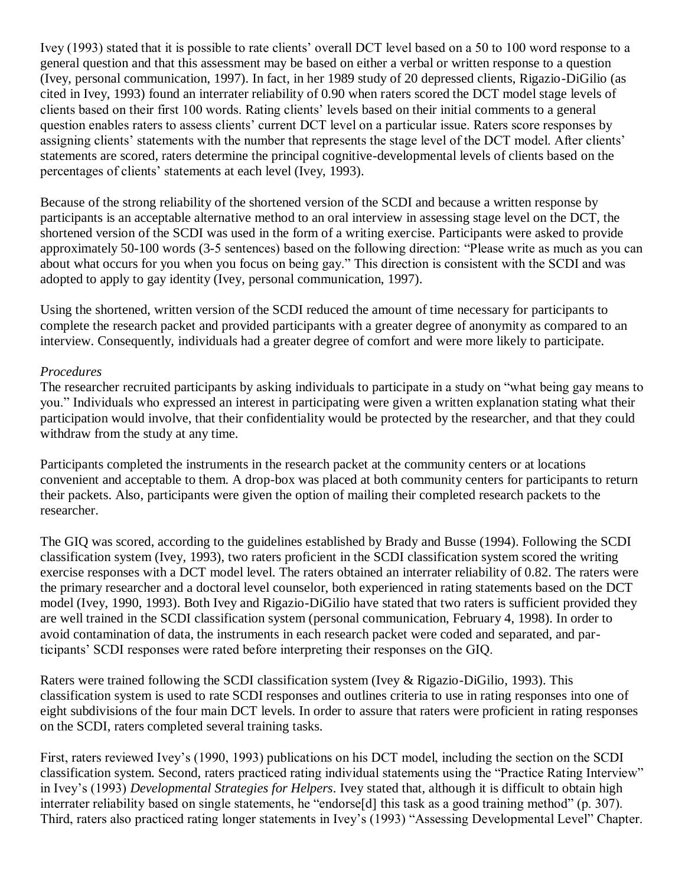Ivey (1993) stated that it is possible to rate clients' overall DCT level based on a 50 to 100 word response to a general question and that this assessment may be based on either a verbal or written response to a question (Ivey, personal communication, 1997). In fact, in her 1989 study of 20 depressed clients, Rigazio-DiGilio (as cited in Ivey, 1993) found an interrater reliability of 0.90 when raters scored the DCT model stage levels of clients based on their first 100 words. Rating clients' levels based on their initial comments to a general question enables raters to assess clients' current DCT level on a particular issue. Raters score responses by assigning clients' statements with the number that represents the stage level of the DCT model. After clients' statements are scored, raters determine the principal cognitive-developmental levels of clients based on the percentages of clients' statements at each level (Ivey, 1993).

Because of the strong reliability of the shortened version of the SCDI and because a written response by participants is an acceptable alternative method to an oral interview in assessing stage level on the DCT, the shortened version of the SCDI was used in the form of a writing exercise. Participants were asked to provide approximately 50-100 words (3-5 sentences) based on the following direction: "Please write as much as you can about what occurs for you when you focus on being gay." This direction is consistent with the SCDI and was adopted to apply to gay identity (Ivey, personal communication, 1997).

Using the shortened, written version of the SCDI reduced the amount of time necessary for participants to complete the research packet and provided participants with a greater degree of anonymity as compared to an interview. Consequently, individuals had a greater degree of comfort and were more likely to participate.

#### *Procedures*

The researcher recruited participants by asking individuals to participate in a study on "what being gay means to you." Individuals who expressed an interest in participating were given a written explanation stating what their participation would involve, that their confidentiality would be protected by the researcher, and that they could withdraw from the study at any time.

Participants completed the instruments in the research packet at the community centers or at locations convenient and acceptable to them. A drop-box was placed at both community centers for participants to return their packets. Also, participants were given the option of mailing their completed research packets to the researcher.

The GIQ was scored, according to the guidelines established by Brady and Busse (1994). Following the SCDI classification system (Ivey, 1993), two raters proficient in the SCDI classification system scored the writing exercise responses with a DCT model level. The raters obtained an interrater reliability of 0.82. The raters were the primary researcher and a doctoral level counselor, both experienced in rating statements based on the DCT model (Ivey, 1990, 1993). Both Ivey and Rigazio-DiGilio have stated that two raters is sufficient provided they are well trained in the SCDI classification system (personal communication, February 4, 1998). In order to avoid contamination of data, the instruments in each research packet were coded and separated, and participants' SCDI responses were rated before interpreting their responses on the GIQ.

Raters were trained following the SCDI classification system (Ivey & Rigazio-DiGilio, 1993). This classification system is used to rate SCDI responses and outlines criteria to use in rating responses into one of eight subdivisions of the four main DCT levels. In order to assure that raters were proficient in rating responses on the SCDI, raters completed several training tasks.

First, raters reviewed Ivey's (1990, 1993) publications on his DCT model, including the section on the SCDI classification system. Second, raters practiced rating individual statements using the "Practice Rating Interview" in Ivey's (1993) *Developmental Strategies for Helpers*. Ivey stated that, although it is difficult to obtain high interrater reliability based on single statements, he "endorse[d] this task as a good training method" (p. 307). Third, raters also practiced rating longer statements in Ivey's (1993) "Assessing Developmental Level" Chapter.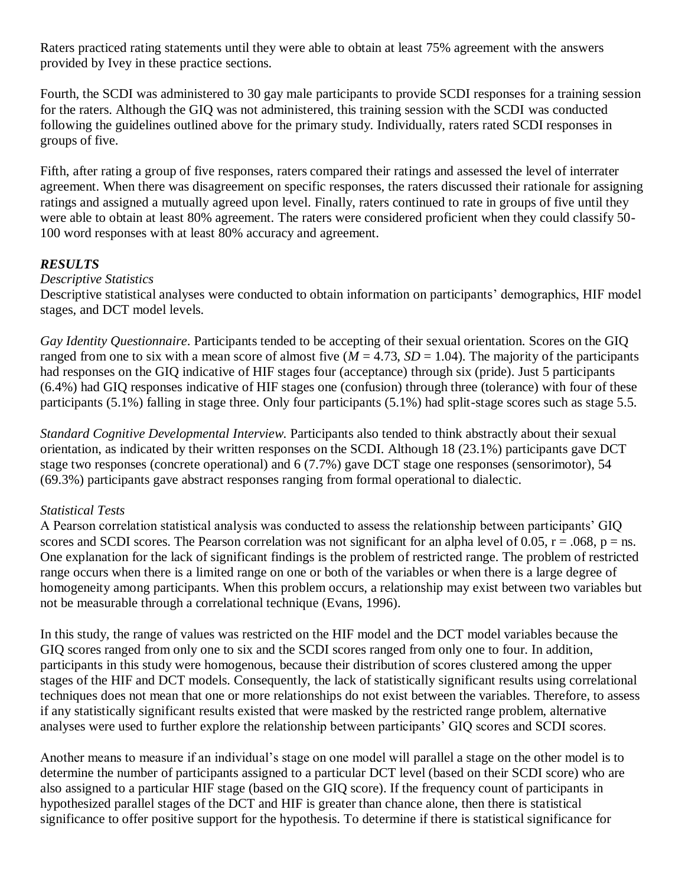Raters practiced rating statements until they were able to obtain at least 75% agreement with the answers provided by Ivey in these practice sections.

Fourth, the SCDI was administered to 30 gay male participants to provide SCDI responses for a training session for the raters. Although the GIQ was not administered, this training session with the SCDI was conducted following the guidelines outlined above for the primary study. Individually, raters rated SCDI responses in groups of five.

Fifth, after rating a group of five responses, raters compared their ratings and assessed the level of interrater agreement. When there was disagreement on specific responses, the raters discussed their rationale for assigning ratings and assigned a mutually agreed upon level. Finally, raters continued to rate in groups of five until they were able to obtain at least 80% agreement. The raters were considered proficient when they could classify 50- 100 word responses with at least 80% accuracy and agreement.

# *RESULTS*

#### *Descriptive Statistics*

Descriptive statistical analyses were conducted to obtain information on participants' demographics, HIF model stages, and DCT model levels.

*Gay Identity Questionnaire*. Participants tended to be accepting of their sexual orientation. Scores on the GIQ ranged from one to six with a mean score of almost five  $(M = 4.73, SD = 1.04)$ . The majority of the participants had responses on the GIQ indicative of HIF stages four (acceptance) through six (pride). Just 5 participants (6.4%) had GIQ responses indicative of HIF stages one (confusion) through three (tolerance) with four of these participants (5.1%) falling in stage three. Only four participants (5.1%) had split-stage scores such as stage 5.5.

*Standard Cognitive Developmental Interview*. Participants also tended to think abstractly about their sexual orientation, as indicated by their written responses on the SCDI. Although 18 (23.1%) participants gave DCT stage two responses (concrete operational) and 6 (7.7%) gave DCT stage one responses (sensorimotor), 54 (69.3%) participants gave abstract responses ranging from formal operational to dialectic.

# *Statistical Tests*

A Pearson correlation statistical analysis was conducted to assess the relationship between participants' GIQ scores and SCDI scores. The Pearson correlation was not significant for an alpha level of 0.05,  $r = .068$ ,  $p = ns$ . One explanation for the lack of significant findings is the problem of restricted range. The problem of restricted range occurs when there is a limited range on one or both of the variables or when there is a large degree of homogeneity among participants. When this problem occurs, a relationship may exist between two variables but not be measurable through a correlational technique (Evans, 1996).

In this study, the range of values was restricted on the HIF model and the DCT model variables because the GIQ scores ranged from only one to six and the SCDI scores ranged from only one to four. In addition, participants in this study were homogenous, because their distribution of scores clustered among the upper stages of the HIF and DCT models. Consequently, the lack of statistically significant results using correlational techniques does not mean that one or more relationships do not exist between the variables. Therefore, to assess if any statistically significant results existed that were masked by the restricted range problem, alternative analyses were used to further explore the relationship between participants' GIQ scores and SCDI scores.

Another means to measure if an individual's stage on one model will parallel a stage on the other model is to determine the number of participants assigned to a particular DCT level (based on their SCDI score) who are also assigned to a particular HIF stage (based on the GIQ score). If the frequency count of participants in hypothesized parallel stages of the DCT and HIF is greater than chance alone, then there is statistical significance to offer positive support for the hypothesis. To determine if there is statistical significance for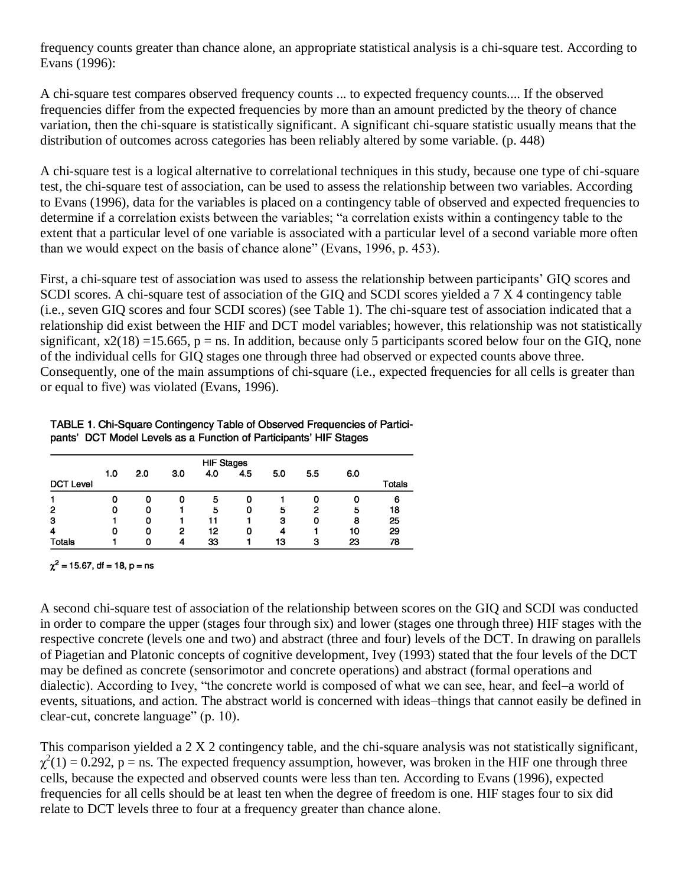frequency counts greater than chance alone, an appropriate statistical analysis is a chi-square test. According to Evans (1996):

A chi-square test compares observed frequency counts ... to expected frequency counts.... If the observed frequencies differ from the expected frequencies by more than an amount predicted by the theory of chance variation, then the chi-square is statistically significant. A significant chi-square statistic usually means that the distribution of outcomes across categories has been reliably altered by some variable. (p. 448)

A chi-square test is a logical alternative to correlational techniques in this study, because one type of chi-square test, the chi-square test of association, can be used to assess the relationship between two variables. According to Evans (1996), data for the variables is placed on a contingency table of observed and expected frequencies to determine if a correlation exists between the variables; "a correlation exists within a contingency table to the extent that a particular level of one variable is associated with a particular level of a second variable more often than we would expect on the basis of chance alone" (Evans, 1996, p. 453).

First, a chi-square test of association was used to assess the relationship between participants' GIQ scores and SCDI scores. A chi-square test of association of the GIQ and SCDI scores yielded a 7 X 4 contingency table (i.e., seven GIQ scores and four SCDI scores) (see Table 1). The chi-square test of association indicated that a relationship did exist between the HIF and DCT model variables; however, this relationship was not statistically significant,  $x2(18) = 15.665$ ,  $p = ns$ . In addition, because only 5 participants scored below four on the GIQ, none of the individual cells for GIQ stages one through three had observed or expected counts above three. Consequently, one of the main assumptions of chi-square (i.e., expected frequencies for all cells is greater than or equal to five) was violated (Evans, 1996).

| TABLE 1. Chi-Square Contingency Table of Observed Frequencies of Partici- |  |
|---------------------------------------------------------------------------|--|
| pants' DCT Model Levels as a Function of Participants' HIF Stages         |  |

|                  |     |     |     | <b>HIF Stages</b> |     |     |     |     |        |
|------------------|-----|-----|-----|-------------------|-----|-----|-----|-----|--------|
|                  | 1.0 | 2.0 | 3.0 | 4.0               | 4.5 | 5.0 | 5.5 | 6.0 |        |
| <b>DCT Level</b> |     |     |     |                   |     |     |     |     | Totals |
|                  | υ   | 0   | 0   | 5                 | 0   |     |     |     | 6      |
| 2                | 0   | 0   |     | 5                 | 0   | 5   | 2   | 5   | 18     |
| 3                |     | 0   |     | 11                |     | з   |     | 8   | 25     |
| 4                | O   | 0   | 2   | 12                | 0   |     |     | 10  | 29     |
| Totals           |     | 0   | Δ   | 33                |     | 13  | з   | 23  | 78     |

 $\chi^2$  = 15.67, df = 18, p = ns

A second chi-square test of association of the relationship between scores on the GIQ and SCDI was conducted in order to compare the upper (stages four through six) and lower (stages one through three) HIF stages with the respective concrete (levels one and two) and abstract (three and four) levels of the DCT. In drawing on parallels of Piagetian and Platonic concepts of cognitive development, Ivey (1993) stated that the four levels of the DCT may be defined as concrete (sensorimotor and concrete operations) and abstract (formal operations and dialectic). According to Ivey, "the concrete world is composed of what we can see, hear, and feel–a world of events, situations, and action. The abstract world is concerned with ideas–things that cannot easily be defined in clear-cut, concrete language" (p. 10).

This comparison yielded a 2 X 2 contingency table, and the chi-square analysis was not statistically significant,  $\chi^2(1) = 0.292$ , p = ns. The expected frequency assumption, however, was broken in the HIF one through three cells, because the expected and observed counts were less than ten. According to Evans (1996), expected frequencies for all cells should be at least ten when the degree of freedom is one. HIF stages four to six did relate to DCT levels three to four at a frequency greater than chance alone.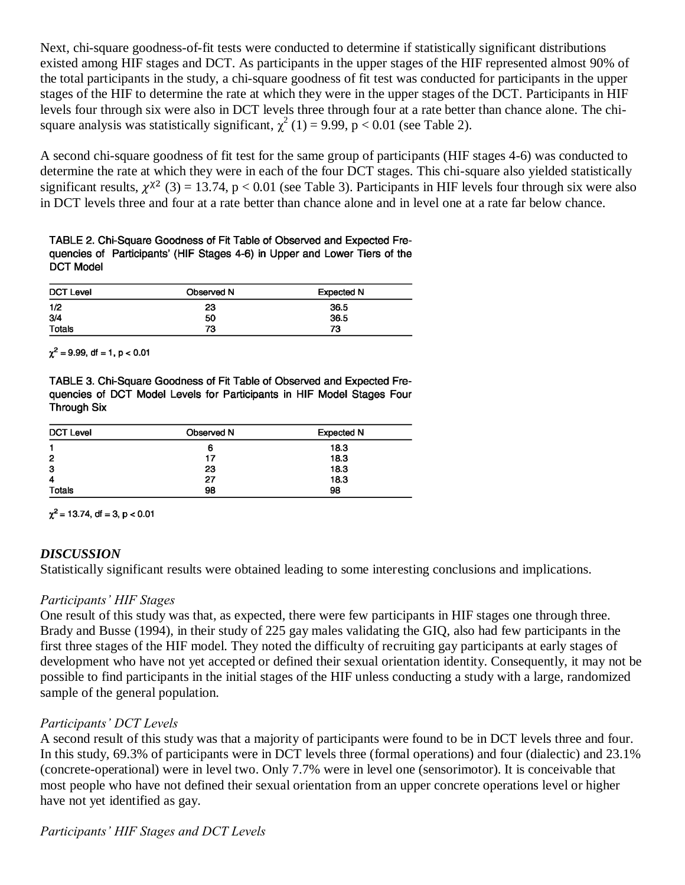Next, chi-square goodness-of-fit tests were conducted to determine if statistically significant distributions existed among HIF stages and DCT. As participants in the upper stages of the HIF represented almost 90% of the total participants in the study, a chi-square goodness of fit test was conducted for participants in the upper stages of the HIF to determine the rate at which they were in the upper stages of the DCT. Participants in HIF levels four through six were also in DCT levels three through four at a rate better than chance alone. The chisquare analysis was statistically significant,  $\chi^2$  (1) = 9.99, p < 0.01 (see Table 2).

A second chi-square goodness of fit test for the same group of participants (HIF stages 4-6) was conducted to determine the rate at which they were in each of the four DCT stages. This chi-square also yielded statistically significant results,  $\chi^{\chi^2}$  (3) = 13.74, p < 0.01 (see Table 3). Participants in HIF levels four through six were also in DCT levels three and four at a rate better than chance alone and in level one at a rate far below chance.

TABLE 2. Chi-Square Goodness of Fit Table of Observed and Expected Frequencies of Participants' (HIF Stages 4-6) in Upper and Lower Tiers of the **DCT Model** 

| <b>DCT Level</b> | Observed N | <b>Expected N</b> |
|------------------|------------|-------------------|
| 1/2              | 23         | 36.5              |
| 3/4              | 50         | 36.5              |
| Totals           | 73         | 73                |

 $\chi^2$  = 9.99, df = 1, p < 0.01

TABLE 3. Chi-Square Goodness of Fit Table of Observed and Expected Frequencies of DCT Model Levels for Participants in HIF Model Stages Four **Through Six** 

| <b>DCT Level</b> | Observed N | <b>Expected N</b> |  |  |
|------------------|------------|-------------------|--|--|
|                  | 6          | 18.3              |  |  |
| 2                | 17         | 18.3              |  |  |
| 3                | 23         | 18.3              |  |  |
| 4                | 27         | 18.3              |  |  |
| Totals           | 98         | 98                |  |  |

 $\chi^2$  = 13.74, df = 3, p < 0.01

# *DISCUSSION*

Statistically significant results were obtained leading to some interesting conclusions and implications.

# *Participants' HIF Stages*

One result of this study was that, as expected, there were few participants in HIF stages one through three. Brady and Busse (1994), in their study of 225 gay males validating the GIQ, also had few participants in the first three stages of the HIF model. They noted the difficulty of recruiting gay participants at early stages of development who have not yet accepted or defined their sexual orientation identity. Consequently, it may not be possible to find participants in the initial stages of the HIF unless conducting a study with a large, randomized sample of the general population.

# *Participants' DCT Levels*

A second result of this study was that a majority of participants were found to be in DCT levels three and four. In this study, 69.3% of participants were in DCT levels three (formal operations) and four (dialectic) and 23.1% (concrete-operational) were in level two. Only 7.7% were in level one (sensorimotor). It is conceivable that most people who have not defined their sexual orientation from an upper concrete operations level or higher have not yet identified as gay.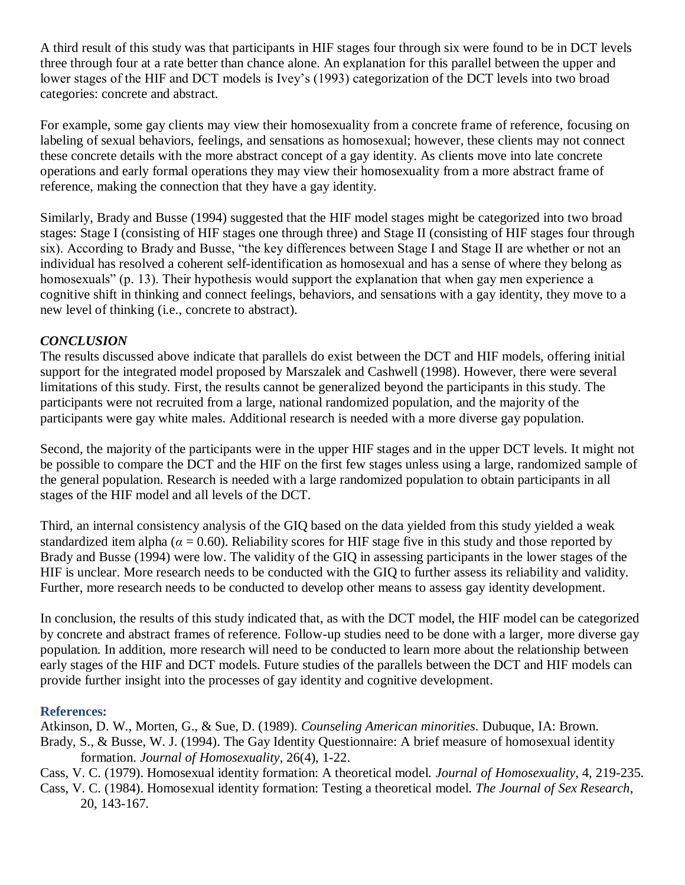A third result of this study was that participants in HIF stages four through six were found to be in DCT levels three through four at a rate better than chance alone. An explanation for this parallel between the upper and lower stages of the HIF and DCT models is Ivey's (1993) categorization of the DCT levels into two broad categories: concrete and abstract.

For example, some gay clients may view their homosexuality from a concrete frame of reference, focusing on labeling of sexual behaviors, feelings, and sensations as homosexual; however, these clients may not connect these concrete details with the more abstract concept of a gay identity. As clients move into late concrete operations and early formal operations they may view their homosexuality from a more abstract frame of reference, making the connection that they have a gay identity.

Similarly, Brady and Busse (1994) suggested that the HIF model stages might be categorized into two broad stages: Stage I (consisting of HIF stages one through three) and Stage II (consisting of HIF stages four through six). According to Brady and Busse, "the key differences between Stage I and Stage II are whether or not an individual has resolved a coherent self-identification as homosexual and has a sense of where they belong as homosexuals" (p. 13). Their hypothesis would support the explanation that when gay men experience a cognitive shift in thinking and connect feelings, behaviors, and sensations with a gay identity, they move to a new level of thinking (i.e., concrete to abstract).

# *CONCLUSION*

The results discussed above indicate that parallels do exist between the DCT and HIF models, offering initial support for the integrated model proposed by Marszalek and Cashwell (1998). However, there were several limitations of this study. First, the results cannot be generalized beyond the participants in this study. The participants were not recruited from a large, national randomized population, and the majority of the participants were gay white males. Additional research is needed with a more diverse gay population.

Second, the majority of the participants were in the upper HIF stages and in the upper DCT levels. It might not be possible to compare the DCT and the HIF on the first few stages unless using a large, randomized sample of the general population. Research is needed with a large randomized population to obtain participants in all stages of the HIF model and all levels of the DCT.

Third, an internal consistency analysis of the GIQ based on the data yielded from this study yielded a weak standardized item alpha ( $\alpha$  = 0.60). Reliability scores for HIF stage five in this study and those reported by Brady and Busse (1994) were low. The validity of the GIQ in assessing participants in the lower stages of the HIF is unclear. More research needs to be conducted with the GIQ to further assess its reliability and validity. Further, more research needs to be conducted to develop other means to assess gay identity development.

In conclusion, the results of this study indicated that, as with the DCT model, the HIF model can be categorized by concrete and abstract frames of reference. Follow-up studies need to be done with a larger, more diverse gay population. In addition, more research will need to be conducted to learn more about the relationship between early stages of the HIF and DCT models. Future studies of the parallels between the DCT and HIF models can provide further insight into the processes of gay identity and cognitive development.

# **References:**

Atkinson, D. W., Morten, G., & Sue, D. (1989). *Counseling American minorities*. Dubuque, IA: Brown. Brady, S., & Busse, W. J. (1994). The Gay Identity Questionnaire: A brief measure of homosexual identity formation. *Journal of Homosexuality*, 26(4), 1-22.

Cass, V. C. (1979). Homosexual identity formation: A theoretical model. *Journal of Homosexuality*, 4, 219-235.

Cass, V. C. (1984). Homosexual identity formation: Testing a theoretical model. *The Journal of Sex Research*, 20, 143-167.